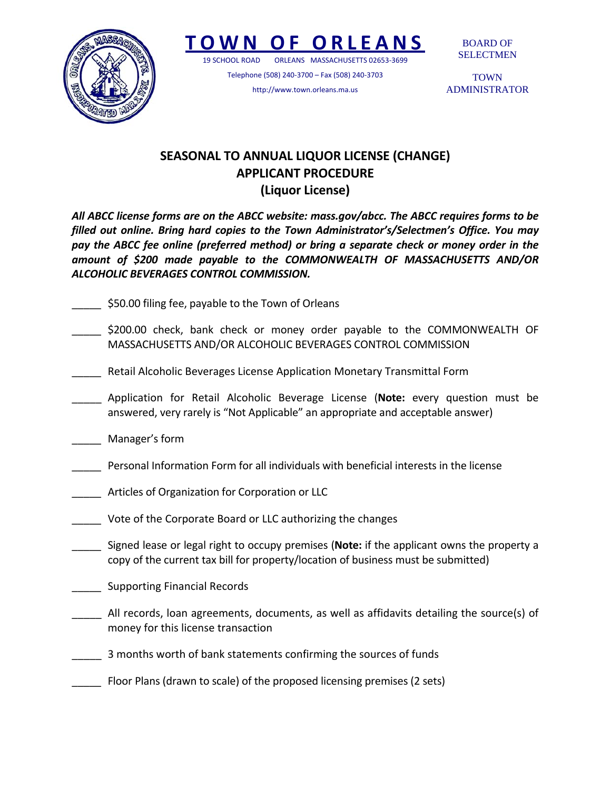

## **TOWN O F ORLEANS**

19 SCHOOL ROAD ORLEANS MASSACHUSETTS 02653‐3699

Telephone (508) 240‐3700 – Fax (508) 240‐3703 http://www.town.orleans.ma.us

BOARD OF SELECTMEN

**TOWN** ADMINISTRATOR

## **SEASONAL TO ANNUAL LIQUOR LICENSE (CHANGE) APPLICANT PROCEDURE (Liquor License)**

*All ABCC license forms are on the ABCC website: mass.gov/abcc. The ABCC requires forms to be filled out online. Bring hard copies to the Town Administrator's/Selectmen's Office. You may pay the ABCC fee online (preferred method) or bring a separate check or money order in the amount of \$200 made payable to the COMMONWEALTH OF MASSACHUSETTS AND/OR ALCOHOLIC BEVERAGES CONTROL COMMISSION.*

- \_\_\_\_\_ \$50.00 filing fee, payable to the Town of Orleans
- \$200.00 check, bank check or money order payable to the COMMONWEALTH OF MASSACHUSETTS AND/OR ALCOHOLIC BEVERAGES CONTROL COMMISSION
- \_\_\_\_\_ Retail Alcoholic Beverages License Application Monetary Transmittal Form
- \_\_\_\_\_ Application for Retail Alcoholic Beverage License (**Note:** every question must be answered, very rarely is "Not Applicable" an appropriate and acceptable answer)
- \_\_\_\_\_ Manager's form
- \_\_\_\_\_ Personal Information Form for all individuals with beneficial interests in the license
- \_\_\_\_\_ Articles of Organization for Corporation or LLC
- \_\_\_\_\_ Vote of the Corporate Board or LLC authorizing the changes
- \_\_\_\_\_ Signed lease or legal right to occupy premises (**Note:** if the applicant owns the property a copy of the current tax bill for property/location of business must be submitted)
- \_\_\_\_\_ Supporting Financial Records
- \_\_\_\_\_ All records, loan agreements, documents, as well as affidavits detailing the source(s) of money for this license transaction
- \_\_\_\_\_ 3 months worth of bank statements confirming the sources of funds
- \_\_\_\_\_ Floor Plans (drawn to scale) of the proposed licensing premises (2 sets)